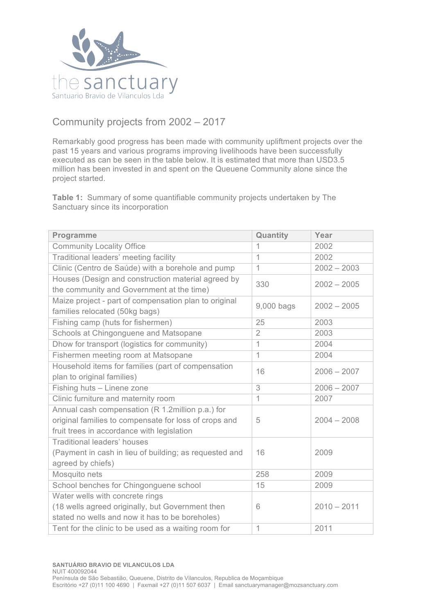

## Community projects from 2002 – 2017

Remarkably good progress has been made with community upliftment projects over the past 15 years and various programs improving livelihoods have been successfully executed as can be seen in the table below. It is estimated that more than USD3.5 million has been invested in and spent on the Queuene Community alone since the project started.

**Table 1:** Summary of some quantifiable community projects undertaken by The Sanctuary since its incorporation

| Programme                                              | Quantity       | Year          |
|--------------------------------------------------------|----------------|---------------|
| <b>Community Locality Office</b>                       | 1              | 2002          |
| Traditional leaders' meeting facility                  | 1              | 2002          |
| Clinic (Centro de Saúde) with a borehole and pump      | $\mathbf{1}$   | $2002 - 2003$ |
| Houses (Design and construction material agreed by     | 330            | $2002 - 2005$ |
| the community and Government at the time)              |                |               |
| Maize project - part of compensation plan to original  | 9,000 bags     | $2002 - 2005$ |
| families relocated (50kg bags)                         |                |               |
| Fishing camp (huts for fishermen)                      | 25             | 2003          |
| Schools at Chingonguene and Matsopane                  | $\overline{2}$ | 2003          |
| Dhow for transport (logistics for community)           | 1              | 2004          |
| Fishermen meeting room at Matsopane                    | 1              | 2004          |
| Household items for families (part of compensation     | 16             | $2006 - 2007$ |
| plan to original families)                             |                |               |
| Fishing huts - Linene zone                             | 3              | $2006 - 2007$ |
| Clinic furniture and maternity room                    | $\mathbf{1}$   | 2007          |
| Annual cash compensation (R 1.2million p.a.) for       |                |               |
| original families to compensate for loss of crops and  | 5              | $2004 - 2008$ |
| fruit trees in accordance with legislation             |                |               |
| <b>Traditional leaders' houses</b>                     |                |               |
| (Payment in cash in lieu of building; as requested and | 16             | 2009          |
| agreed by chiefs)                                      |                |               |
| Mosquito nets                                          | 258            | 2009          |
| School benches for Chingonguene school                 | 15             | 2009          |
| Water wells with concrete rings                        |                |               |
| (18 wells agreed originally, but Government then       | 6              | $2010 - 2011$ |
| stated no wells and now it has to be boreholes)        |                |               |
| Tent for the clinic to be used as a waiting room for   | 1              | 2011          |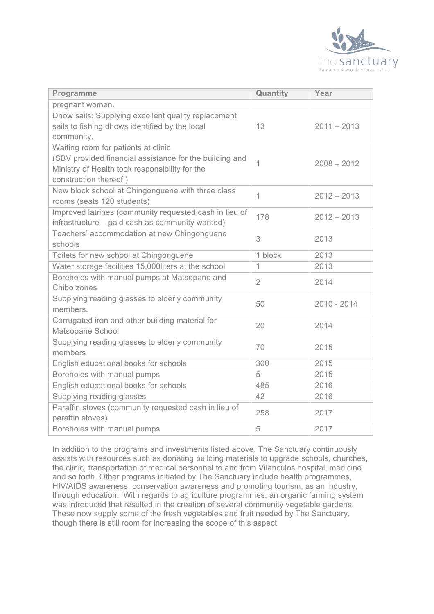

| Programme                                                                                                                                                                  | Quantity       | Year          |
|----------------------------------------------------------------------------------------------------------------------------------------------------------------------------|----------------|---------------|
| pregnant women.                                                                                                                                                            |                |               |
| Dhow sails: Supplying excellent quality replacement<br>sails to fishing dhows identified by the local<br>community.                                                        | 13             | $2011 - 2013$ |
| Waiting room for patients at clinic<br>(SBV provided financial assistance for the building and<br>Ministry of Health took responsibility for the<br>construction thereof.) | 1              | $2008 - 2012$ |
| New block school at Chingonguene with three class<br>rooms (seats 120 students)                                                                                            | $\mathbf{1}$   | $2012 - 2013$ |
| Improved latrines (community requested cash in lieu of<br>infrastructure - paid cash as community wanted)                                                                  | 178            | $2012 - 2013$ |
| Teachers' accommodation at new Chingonguene<br>schools                                                                                                                     | 3              | 2013          |
| Toilets for new school at Chingonguene                                                                                                                                     | 1 block        | 2013          |
| Water storage facilities 15,000liters at the school                                                                                                                        | $\mathbf 1$    | 2013          |
| Boreholes with manual pumps at Matsopane and<br>Chibo zones                                                                                                                | $\overline{2}$ | 2014          |
| Supplying reading glasses to elderly community<br>members.                                                                                                                 | 50             | $2010 - 2014$ |
| Corrugated iron and other building material for<br>Matsopane School                                                                                                        | 20             | 2014          |
| Supplying reading glasses to elderly community<br>members                                                                                                                  | 70             | 2015          |
| English educational books for schools                                                                                                                                      | 300            | 2015          |
| Boreholes with manual pumps                                                                                                                                                | 5              | 2015          |
| English educational books for schools                                                                                                                                      | 485            | 2016          |
| Supplying reading glasses                                                                                                                                                  | 42             | 2016          |
| Paraffin stoves (community requested cash in lieu of<br>paraffin stoves)                                                                                                   | 258            | 2017          |
| Boreholes with manual pumps                                                                                                                                                | 5              | 2017          |

In addition to the programs and investments listed above, The Sanctuary continuously assists with resources such as donating building materials to upgrade schools, churches, the clinic, transportation of medical personnel to and from Vilanculos hospital, medicine and so forth. Other programs initiated by The Sanctuary include health programmes, HIV/AIDS awareness, conservation awareness and promoting tourism, as an industry, through education. With regards to agriculture programmes, an organic farming system was introduced that resulted in the creation of several community vegetable gardens. These now supply some of the fresh vegetables and fruit needed by The Sanctuary, though there is still room for increasing the scope of this aspect.